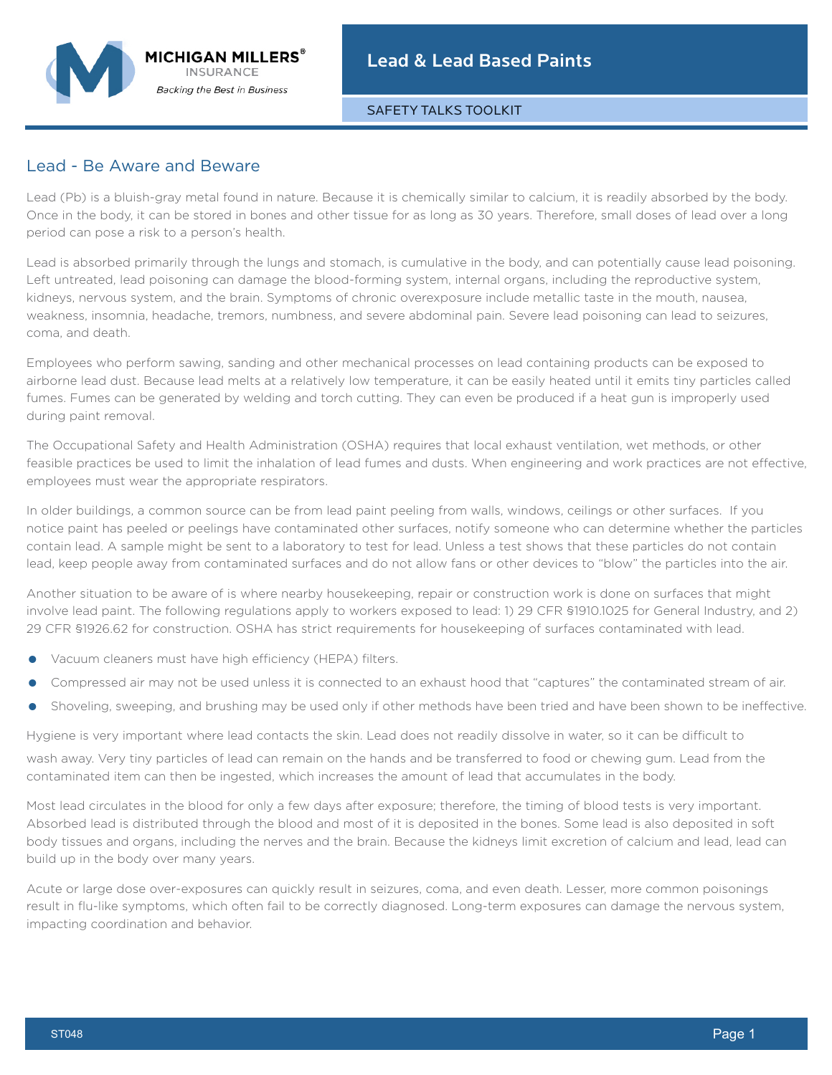SAFETY TALKS TOOLKIT

## Lead - Be Aware and Beware

Lead (Pb) is a bluish-gray metal found in nature. Because it is chemically similar to calcium, it is readily absorbed by the body. Once in the body, it can be stored in bones and other tissue for as long as 30 years. Therefore, small doses of lead over a long period can pose a risk to a person's health.

Lead is absorbed primarily through the lungs and stomach, is cumulative in the body, and can potentially cause lead poisoning. Left untreated, lead poisoning can damage the blood-forming system, internal organs, including the reproductive system, kidneys, nervous system, and the brain. Symptoms of chronic overexposure include metallic taste in the mouth, nausea, weakness, insomnia, headache, tremors, numbness, and severe abdominal pain. Severe lead poisoning can lead to seizures, coma, and death.

Employees who perform sawing, sanding and other mechanical processes on lead containing products can be exposed to airborne lead dust. Because lead melts at a relatively low temperature, it can be easily heated until it emits tiny particles called fumes. Fumes can be generated by welding and torch cutting. They can even be produced if a heat gun is improperly used during paint removal.

The Occupational Safety and Health Administration (OSHA) requires that local exhaust ventilation, wet methods, or other feasible practices be used to limit the inhalation of lead fumes and dusts. When engineering and work practices are not effective, employees must wear the appropriate respirators.

In older buildings, a common source can be from lead paint peeling from walls, windows, ceilings or other surfaces. If you notice paint has peeled or peelings have contaminated other surfaces, notify someone who can determine whether the particles contain lead. A sample might be sent to a laboratory to test for lead. Unless a test shows that these particles do not contain lead, keep people away from contaminated surfaces and do not allow fans or other devices to "blow" the particles into the air.

Another situation to be aware of is where nearby housekeeping, repair or construction work is done on surfaces that might involve lead paint. The following regulations apply to workers exposed to lead: 1) 29 CFR §1910.1025 for General Industry, and 2) 29 CFR §1926.62 for construction. OSHA has strict requirements for housekeeping of surfaces contaminated with lead.

- **•** Vacuum cleaners must have high efficiency (HEPA) filters.
- **•** Compressed air may not be used unless it is connected to an exhaust hood that "captures" the contaminated stream of air.
- **•** Shoveling, sweeping, and brushing may be used only if other methods have been tried and have been shown to be ineffective.

Hygiene is very important where lead contacts the skin. Lead does not readily dissolve in water, so it can be difficult to wash away. Very tiny particles of lead can remain on the hands and be transferred to food or chewing gum. Lead from the contaminated item can then be ingested, which increases the amount of lead that accumulates in the body.

Most lead circulates in the blood for only a few days after exposure; therefore, the timing of blood tests is very important. Absorbed lead is distributed through the blood and most of it is deposited in the bones. Some lead is also deposited in soft body tissues and organs, including the nerves and the brain. Because the kidneys limit excretion of calcium and lead, lead can build up in the body over many years.

Acute or large dose over-exposures can quickly result in seizures, coma, and even death. Lesser, more common poisonings result in flu-like symptoms, which often fail to be correctly diagnosed. Long-term exposures can damage the nervous system, impacting coordination and behavior.